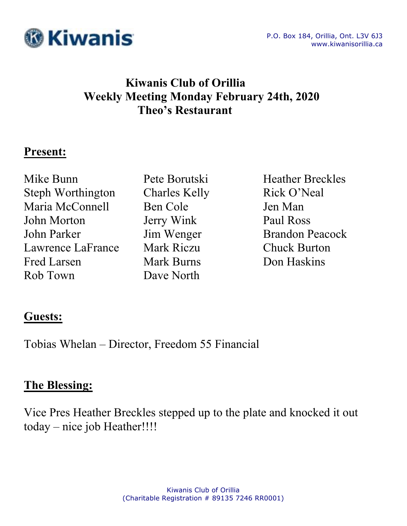

# **Kiwanis Club of Orillia Weekly Meeting Monday February 24th, 2020 Theo's Restaurant**

#### **Present:**

Mike Bunn Pete Borutski Heather Breckles Steph Worthington Charles Kelly Rick O'Neal Maria McConnell Ben Cole Jen Man John Morton Jerry Wink Paul Ross John Parker Jim Wenger Brandon Peacock Lawrence LaFrance Mark Riczu Chuck Burton Fred Larsen Mark Burns Don Haskins Rob Town Dave North

## **Guests:**

Tobias Whelan – Director, Freedom 55 Financial

## **The Blessing:**

Vice Pres Heather Breckles stepped up to the plate and knocked it out today – nice job Heather!!!!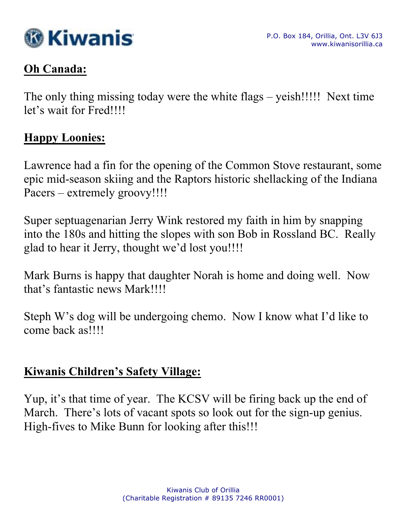

## **Oh Canada:**

The only thing missing today were the white flags – yeish!!!!! Next time let's wait for Fred!!!!

#### **Happy Loonies:**

Lawrence had a fin for the opening of the Common Stove restaurant, some epic mid-season skiing and the Raptors historic shellacking of the Indiana Pacers – extremely groovy!!!!!

Super septuagenarian Jerry Wink restored my faith in him by snapping into the 180s and hitting the slopes with son Bob in Rossland BC. Really glad to hear it Jerry, thought we'd lost you!!!!

Mark Burns is happy that daughter Norah is home and doing well. Now that's fantastic news Mark!!!!

Steph W's dog will be undergoing chemo. Now I know what I'd like to come back as!!!!

# **Kiwanis Children's Safety Village:**

Yup, it's that time of year. The KCSV will be firing back up the end of March. There's lots of vacant spots so look out for the sign-up genius. High-fives to Mike Bunn for looking after this!!!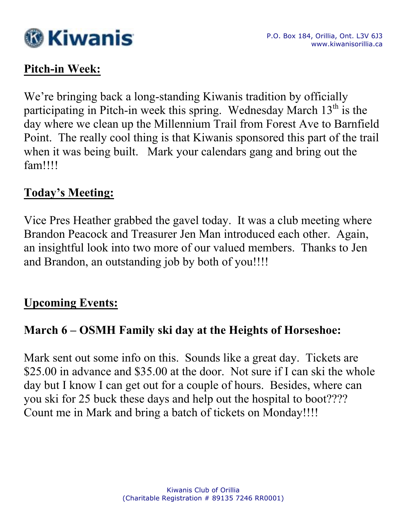

# **Pitch-in Week:**

We're bringing back a long-standing Kiwanis tradition by officially participating in Pitch-in week this spring. Wednesday March  $13<sup>th</sup>$  is the day where we clean up the Millennium Trail from Forest Ave to Barnfield Point. The really cool thing is that Kiwanis sponsored this part of the trail when it was being built. Mark your calendars gang and bring out the fam!!!!

#### **Today's Meeting:**

Vice Pres Heather grabbed the gavel today. It was a club meeting where Brandon Peacock and Treasurer Jen Man introduced each other. Again, an insightful look into two more of our valued members. Thanks to Jen and Brandon, an outstanding job by both of you!!!!

#### **Upcoming Events:**

## **March 6 – OSMH Family ski day at the Heights of Horseshoe:**

Mark sent out some info on this. Sounds like a great day. Tickets are \$25.00 in advance and \$35.00 at the door. Not sure if I can ski the whole day but I know I can get out for a couple of hours. Besides, where can you ski for 25 buck these days and help out the hospital to boot???? Count me in Mark and bring a batch of tickets on Monday!!!!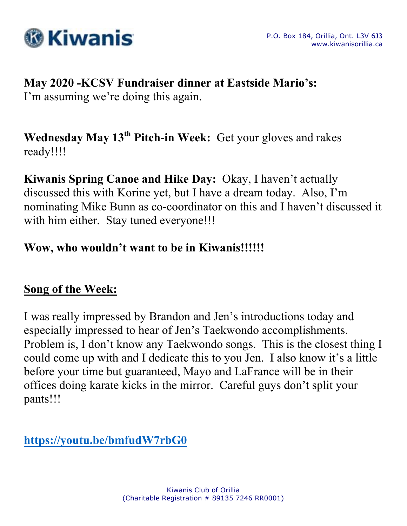

# **May 2020 -KCSV Fundraiser dinner at Eastside Mario's:**

I'm assuming we're doing this again.

Wednesday May 13<sup>th</sup> Pitch-in Week: Get your gloves and rakes ready!!!!

**Kiwanis Spring Canoe and Hike Day:** Okay, I haven't actually discussed this with Korine yet, but I have a dream today. Also, I'm nominating Mike Bunn as co-coordinator on this and I haven't discussed it with him either. Stay tuned everyone!!!

# **Wow, who wouldn't want to be in Kiwanis!!!!!!**

# **Song of the Week:**

I was really impressed by Brandon and Jen's introductions today and especially impressed to hear of Jen's Taekwondo accomplishments. Problem is, I don't know any Taekwondo songs. This is the closest thing I could come up with and I dedicate this to you Jen. I also know it's a little before your time but guaranteed, Mayo and LaFrance will be in their offices doing karate kicks in the mirror. Careful guys don't split your pants!!!

**https://youtu.be/bmfudW7rbG0**